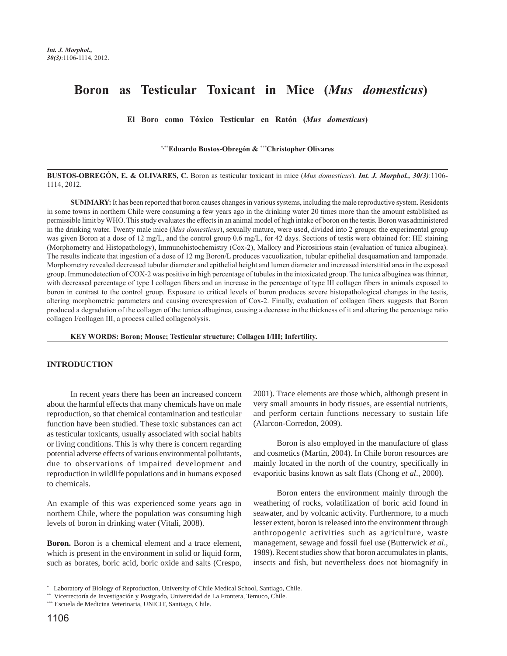# **Boron as Testicular Toxicant in Mice (***Mus domesticus***)**

**El Boro como Tóxico Testicular en Ratón (***Mus domesticus***)**

**\*,\*\*Eduardo Bustos-Obregón &** *\*\*\****Christopher Olivares**

**BUSTOS-OBREGÓN, E. & OLIVARES, C.** Boron as testicular toxicant in mice (*Mus domesticus*). *Int. J. Morphol., 30(3)*:1106- 1114, 2012.

**SUMMARY:** It has been reported that boron causes changes in various systems, including the male reproductive system. Residents in some towns in northern Chile were consuming a few years ago in the drinking water 20 times more than the amount established as permissible limit by WHO. This study evaluates the effects in an animal model of high intake of boron on the testis. Boron was administered in the drinking water. Twenty male mice (*Mus domesticus*), sexually mature, were used, divided into 2 groups: the experimental group was given Boron at a dose of 12 mg/L, and the control group 0.6 mg/L, for 42 days. Sections of testis were obtained for: HE staining (Morphometry and Histopathology), Immunohistochemistry (Cox-2), Mallory and Picrosirious stain (evaluation of tunica albuginea). The results indicate that ingestion of a dose of 12 mg Boron/L produces vacuolization, tubular epithelial desquamation and tamponade. Morphometry revealed decreased tubular diameter and epithelial height and lumen diameter and increased interstitial area in the exposed group. Immunodetection of COX-2 was positive in high percentage of tubules in the intoxicated group. The tunica albuginea was thinner, with decreased percentage of type I collagen fibers and an increase in the percentage of type III collagen fibers in animals exposed to boron in contrast to the control group. Exposure to critical levels of boron produces severe histopathological changes in the testis, altering morphometric parameters and causing overexpression of Cox-2. Finally, evaluation of collagen fibers suggests that Boron produced a degradation of the collagen of the tunica albuginea, causing a decrease in the thickness of it and altering the percentage ratio collagen I/collagen III, a process called collagenolysis.

**KEY WORDS: Boron; Mouse; Testicular structure; Collagen I/III; Infertility.**

## **INTRODUCTION**

In recent years there has been an increased concern about the harmful effects that many chemicals have on male reproduction, so that chemical contamination and testicular function have been studied. These toxic substances can act as testicular toxicants, usually associated with social habits or living conditions. This is why there is concern regarding potential adverse effects of various environmental pollutants, due to observations of impaired development and reproduction in wildlife populations and in humans exposed to chemicals.

An example of this was experienced some years ago in northern Chile, where the population was consuming high levels of boron in drinking water (Vitali, 2008).

**Boron.** Boron is a chemical element and a trace element, which is present in the environment in solid or liquid form, such as borates, boric acid, boric oxide and salts (Crespo, 2001). Trace elements are those which, although present in very small amounts in body tissues, are essential nutrients, and perform certain functions necessary to sustain life (Alarcon-Corredon, 2009).

Boron is also employed in the manufacture of glass and cosmetics (Martin, 2004). In Chile boron resources are mainly located in the north of the country, specifically in evaporitic basins known as salt flats (Chong *et al*., 2000).

Boron enters the environment mainly through the weathering of rocks, volatilization of boric acid found in seawater, and by volcanic activity. Furthermore, to a much lesser extent, boron is released into the environment through anthropogenic activities such as agriculture, waste management, sewage and fossil fuel use (Butterwick *et al*., 1989). Recent studies show that boron accumulates in plants, insects and fish, but nevertheless does not biomagnify in

<sup>\*</sup> Laboratory of Biology of Reproduction, University of Chile Medical School, Santiago, Chile.

<sup>\*\*</sup> Vicerrectoría de Investigación y Postgrado, Universidad de La Frontera, Temuco, Chile.

<sup>\*\*\*</sup> Escuela de Medicina Veterinaria, UNICIT, Santiago, Chile.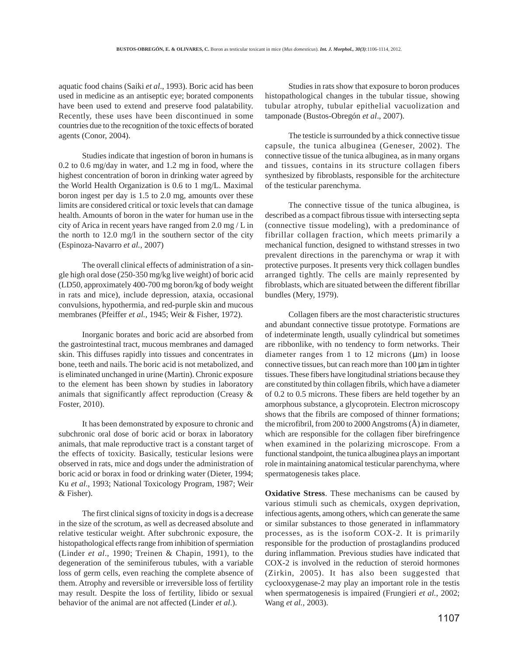aquatic food chains (Saiki *et al*., 1993). Boric acid has been used in medicine as an antiseptic eye; borated components have been used to extend and preserve food palatability. Recently, these uses have been discontinued in some countries due to the recognition of the toxic effects of borated agents (Conor, 2004).

Studies indicate that ingestion of boron in humans is 0.2 to 0.6 mg/day in water, and 1.2 mg in food, where the highest concentration of boron in drinking water agreed by the World Health Organization is 0.6 to 1 mg/L. Maximal boron ingest per day is 1.5 to 2.0 mg, amounts over these limits are considered critical or toxic levels that can damage health. Amounts of boron in the water for human use in the city of Arica in recent years have ranged from 2.0 mg / L in the north to 12.0 mg/l in the southern sector of the city (Espinoza-Navarro *et al.*, 2007)

The overall clinical effects of administration of a single high oral dose (250-350 mg/kg live weight) of boric acid (LD50, approximately 400-700 mg boron/kg of body weight in rats and mice), include depression, ataxia, occasional convulsions, hypothermia, and red-purple skin and mucous membranes (Pfeiffer *et al.*, 1945; Weir & Fisher, 1972).

Inorganic borates and boric acid are absorbed from the gastrointestinal tract, mucous membranes and damaged skin. This diffuses rapidly into tissues and concentrates in bone, teeth and nails. The boric acid is not metabolized, and is eliminated unchanged in urine (Martin). Chronic exposure to the element has been shown by studies in laboratory animals that significantly affect reproduction (Creasy & Foster, 2010).

It has been demonstrated by exposure to chronic and subchronic oral dose of boric acid or borax in laboratory animals, that male reproductive tract is a constant target of the effects of toxicity. Basically, testicular lesions were observed in rats, mice and dogs under the administration of boric acid or borax in food or drinking water (Dieter, 1994; Ku *et al*., 1993; National Toxicology Program, 1987; Weir & Fisher).

The first clinical signs of toxicity in dogs is a decrease in the size of the scrotum, as well as decreased absolute and relative testicular weight. After subchronic exposure, the histopathological effects range from inhibition of spermiation (Linder *et al*., 1990; Treinen & Chapin, 1991), to the degeneration of the seminiferous tubules, with a variable loss of germ cells, even reaching the complete absence of them. Atrophy and reversible or irreversible loss of fertility may result. Despite the loss of fertility, libido or sexual behavior of the animal are not affected (Linder *et al*.).

Studies in rats show that exposure to boron produces histopathological changes in the tubular tissue, showing tubular atrophy, tubular epithelial vacuolization and tamponade (Bustos-Obregón *et al*., 2007).

The testicle is surrounded by a thick connective tissue capsule, the tunica albuginea (Geneser, 2002). The connective tissue of the tunica albuginea, as in many organs and tissues, contains in its structure collagen fibers synthesized by fibroblasts, responsible for the architecture of the testicular parenchyma.

The connective tissue of the tunica albuginea, is described as a compact fibrous tissue with intersecting septa (connective tissue modeling), with a predominance of fibrillar collagen fraction, which meets primarily a mechanical function, designed to withstand stresses in two prevalent directions in the parenchyma or wrap it with protective purposes. It presents very thick collagen bundles arranged tightly. The cells are mainly represented by fibroblasts, which are situated between the different fibrillar bundles (Mery, 1979).

Collagen fibers are the most characteristic structures and abundant connective tissue prototype. Formations are of indeterminate length, usually cylindrical but sometimes are ribbonlike, with no tendency to form networks. Their diameter ranges from 1 to 12 microns  $(\mu m)$  in loose connective tissues, but can reach more than 100 µm in tighter tissues. These fibers have longitudinal striations because they are constituted by thin collagen fibrils, which have a diameter of 0.2 to 0.5 microns. These fibers are held together by an amorphous substance, a glycoprotein. Electron microscopy shows that the fibrils are composed of thinner formations; the microfibril, from 200 to 2000 Angstroms (Å) in diameter, which are responsible for the collagen fiber birefringence when examined in the polarizing microscope. From a functional standpoint, the tunica albuginea plays an important role in maintaining anatomical testicular parenchyma, where spermatogenesis takes place.

**Oxidative Stress**. These mechanisms can be caused by various stimuli such as chemicals, oxygen deprivation, infectious agents, among others, which can generate the same or similar substances to those generated in inflammatory processes, as is the isoform COX-2. It is primarily responsible for the production of prostaglandins produced during inflammation. Previous studies have indicated that COX-2 is involved in the reduction of steroid hormones (Zirkin, 2005). It has also been suggested that cyclooxygenase-2 may play an important role in the testis when spermatogenesis is impaired (Frungieri *et al.*, 2002; Wang *et al.,* 2003).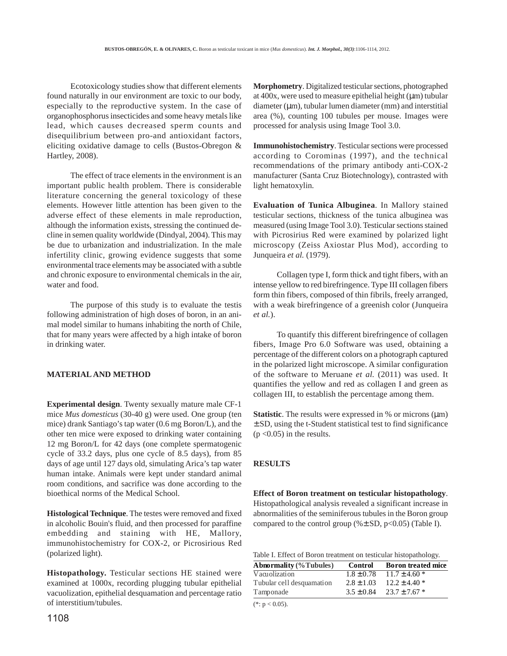Ecotoxicology studies show that different elements found naturally in our environment are toxic to our body, especially to the reproductive system. In the case of organophosphorus insecticides and some heavy metals like lead, which causes decreased sperm counts and disequilibrium between pro-and antioxidant factors, eliciting oxidative damage to cells (Bustos-Obregon & Hartley, 2008).

The effect of trace elements in the environment is an important public health problem. There is considerable literature concerning the general toxicology of these elements. However little attention has been given to the adverse effect of these elements in male reproduction, although the information exists, stressing the continued decline in semen quality worldwide (Dindyal, 2004). This may be due to urbanization and industrialization. In the male infertility clinic, growing evidence suggests that some environmental trace elements may be associated with a subtle and chronic exposure to environmental chemicals in the air, water and food.

The purpose of this study is to evaluate the testis following administration of high doses of boron, in an animal model similar to humans inhabiting the north of Chile, that for many years were affected by a high intake of boron in drinking water.

## **MATERIAL AND METHOD**

**Experimental design**. Twenty sexually mature male CF-1 mice *Mus domesticus* (30-40 g) were used. One group (ten mice) drank Santiago's tap water (0.6 mg Boron/L), and the other ten mice were exposed to drinking water containing 12 mg Boron/L for 42 days (one complete spermatogenic cycle of 33.2 days, plus one cycle of 8.5 days), from 85 days of age until 127 days old, simulating Arica's tap water human intake. Animals were kept under standard animal room conditions, and sacrifice was done according to the bioethical norms of the Medical School.

**Histological Technique**. The testes were removed and fixed in alcoholic Bouin's fluid, and then processed for paraffine embedding and staining with HE, Mallory, immunohistochemistry for COX-2, or Picrosirious Red (polarized light).

**Histopathology.** Testicular sections HE stained were examined at 1000x, recording plugging tubular epithelial vacuolization, epithelial desquamation and percentage ratio of interstitium/tubules.

**Morphometry**. Digitalized testicular sections, photographed at  $400x$ , were used to measure epithelial height ( $\mu$ m) tubular  $diameter (µm)$ , tubular lumen diameter (mm) and interstitial area (%), counting 100 tubules per mouse. Images were processed for analysis using Image Tool 3.0.

**Immunohistochemistry**. Testicular sections were processed according to Corominas (1997), and the technical recommendations of the primary antibody anti-COX-2 manufacturer (Santa Cruz Biotechnology), contrasted with light hematoxylin.

**Evaluation of Tunica Albuginea**. In Mallory stained testicular sections, thickness of the tunica albuginea was measured (using Image Tool 3.0). Testicular sections stained with Picrosirius Red were examined by polarized light microscopy (Zeiss Axiostar Plus Mod), according to Junqueira *et al.* (1979).

Collagen type I, form thick and tight fibers, with an intense yellow to red birefringence. Type III collagen fibers form thin fibers, composed of thin fibrils, freely arranged, with a weak birefringence of a greenish color (Junqueira *et al.*).

To quantify this different birefringence of collagen fibers, Image Pro 6.0 Software was used, obtaining a percentage of the different colors on a photograph captured in the polarized light microscope. A similar configuration of the software to Meruane *et al.* (2011) was used. It quantifies the yellow and red as collagen I and green as collagen III, to establish the percentage among them.

**Statistic**. The results were expressed in % or microns ( $\mu$ m) ± SD, using the t-Student statistical test to find significance  $(p \le 0.05)$  in the results.

### **RESULTS**

**Effect of Boron treatment on testicular histopathology**. Histopathological analysis revealed a significant increase in abnormalities of the seminiferous tubules in the Boron group compared to the control group (% $\pm$  SD, p<0.05) (Table I).

Table I. Effect of Boron treatment on testicular histopathology.

| Control        | <b>Boron treated mice</b> |
|----------------|---------------------------|
| $1.8 \pm 0.78$ | $11.7 \pm 4.60$ *         |
| $2.8 \pm 1.03$ | $12.2 \pm 4.40*$          |
| $3.5 \pm 0.84$ | $23.7 \pm 7.67$ *         |
|                |                           |

 $(*: p < 0.05).$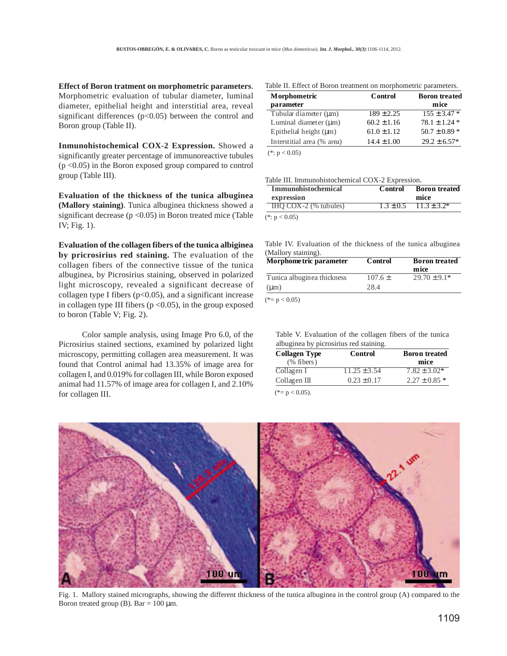**Effect of Boron tratment on morphometric parameters**. Morphometric evaluation of tubular diameter, luminal diameter, epithelial height and interstitial area, reveal significant differences ( $p$ <0.05) between the control and Boron group (Table II).

**Inmunohistochemical COX-2 Expression.** Showed a significantly greater percentage of immunoreactive tubules  $(p \le 0.05)$  in the Boron exposed group compared to control group (Table III).

**Evaluation of the thickness of the tunica albuginea (Mallory staining)**. Tunica albuginea thickness showed a significant decrease ( $p < 0.05$ ) in Boron treated mice (Table IV; Fig. 1).

**Evaluation of the collagen fibers of the tunica albiginea by pricrosirius red staining.** The evaluation of the collagen fibers of the connective tissue of the tunica albuginea, by Picrosirius staining, observed in polarized light microscopy, revealed a significant decrease of collagen type I fibers  $(p<0.05)$ , and a significant increase in collagen type III fibers ( $p < 0.05$ ), in the group exposed to boron (Table V; Fig. 2).

Color sample analysis, using Image Pro 6.0, of the Picrosirius stained sections, examined by polarized light microscopy, permitting collagen area measurement. It was found that Control animal had 13.35% of image area for collagen I, and 0.019% for collagen III, while Boron exposed animal had 11.57% of image area for collagen I, and 2.10% for collagen III.

Table II. Effect of Boron treatment on morphometric parameters.

| Morphometric                | Control         | <b>Boron</b> treated<br>mice |  |  |
|-----------------------------|-----------------|------------------------------|--|--|
| parameter                   | $189 \pm 2.25$  | $155 \pm 3.47$ *             |  |  |
| Tubular diameter $(\mu m)$  |                 |                              |  |  |
| Luminal diameter $(\mu m)$  | $60.2 \pm 1.16$ | $78.1 \pm 1.24$ *            |  |  |
| Epithelial height $(\mu m)$ | $61.0 \pm 1.12$ | $50.7 \pm 0.89$ *            |  |  |
| Interstitial area (% area)  | $14.4 \pm 1.00$ | $29.2 \pm 6.57*$             |  |  |

 $(*: p < 0.05)$ 

#### Table III. Immunohistochemical COX-2 Expression.

| <b>Immunohistochemical</b><br>expression | Control | <b>Boron</b> treated<br>mice   |  |  |  |
|------------------------------------------|---------|--------------------------------|--|--|--|
| $HQ$ COX-2 (% tubules)                   |         | $1.3 \pm 0.5$ $11.3 \pm 3.2^*$ |  |  |  |
| $(*: p < 0.05)$                          |         |                                |  |  |  |

Table IV. Evaluation of the thickness of the tunica albuginea (Mallory staining).

| Morphome tric parameter         | Control     | <b>Boron</b> treated |  |  |
|---------------------------------|-------------|----------------------|--|--|
|                                 |             | mice                 |  |  |
| Tunica albuginea thickness      | $107.6 \pm$ | $29.70 \pm 9.1*$     |  |  |
| $(\mu m)$                       | 28.4        |                      |  |  |
| $-0.11$<br>$\sim$ $\sim$ $\sim$ |             |                      |  |  |

 $(*= p < 0.05)$ 

|  |  | Table V. Evaluation of the collagen fibers of the tunica |  |  |
|--|--|----------------------------------------------------------|--|--|
|  |  | albuginea by picrosirius red staining.                   |  |  |

| <b>Collagen Type</b> | Control          | <b>Boron</b> treated |  |  |
|----------------------|------------------|----------------------|--|--|
| $(\%$ fibers)        |                  | mice                 |  |  |
| Collagen I           | $11.25 \pm 3.54$ | $7.82 \pm 3.02*$     |  |  |
| Collagen III         | $0.23 \pm 0.17$  | $2.27 \pm 0.85$ *    |  |  |

 $(*= p < 0.05).$ 



Fig. 1. Mallory stained micrographs, showing the different thickness of the tunica albuginea in the control group (A) compared to the Boron treated group (B). Bar =  $100 \mu$ m.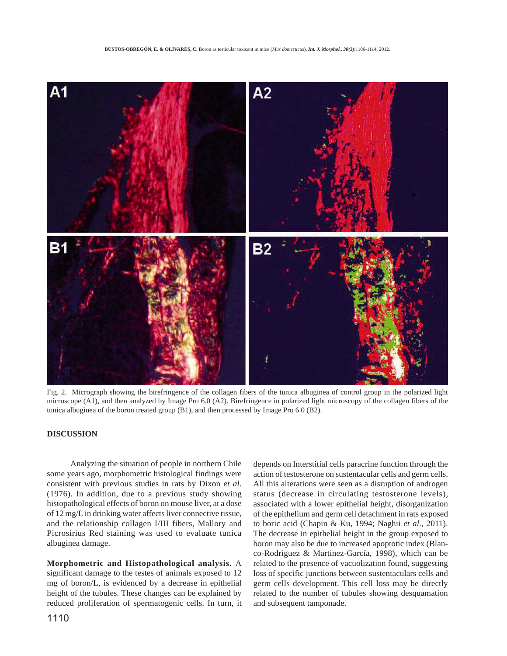

Fig. 2. Micrograph showing the birefringence of the collagen fibers of the tunica albuginea of control group in the polarized light microscope (A1), and then analyzed by Image Pro 6.0 (A2). Birefringence in polarized light microscopy of the collagen fibers of the tunica albuginea of the boron treated group (B1), and then processed by Image Pro 6.0 (B2).

## **DISCUSSION**

Analyzing the situation of people in northern Chile some years ago, morphometric histological findings were consistent with previous studies in rats by Dixon *et al*. (1976). In addition, due to a previous study showing histopathological effects of boron on mouse liver, at a dose of 12 mg/L in drinking water affects liver connective tissue, and the relationship collagen I/III fibers, Mallory and Picrosirius Red staining was used to evaluate tunica albuginea damage.

**Morphometric and Histopathological analysis**. A significant damage to the testes of animals exposed to 12 mg of boron/L, is evidenced by a decrease in epithelial height of the tubules. These changes can be explained by reduced proliferation of spermatogenic cells. In turn, it

depends on Interstitial cells paracrine function through the action of testosterone on sustentacular cells and germ cells. All this alterations were seen as a disruption of androgen status (decrease in circulating testosterone levels), associated with a lower epithelial height, disorganization of the epithelium and germ cell detachment in rats exposed to boric acid (Chapin & Ku, 1994; Naghii *et al*., 2011). The decrease in epithelial height in the group exposed to boron may also be due to increased apoptotic index (Blanco-Rodriguez & Martinez-García, 1998), which can be related to the presence of vacuolization found, suggesting loss of specific junctions between sustentaculars cells and germ cells development. This cell loss may be directly related to the number of tubules showing desquamation and subsequent tamponade.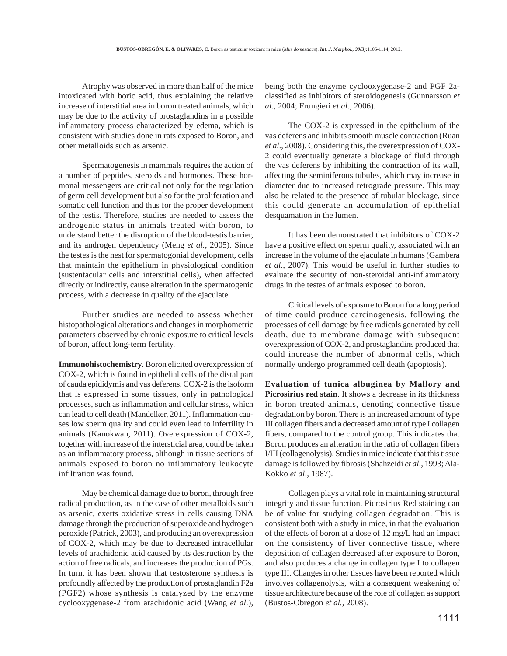Atrophy was observed in more than half of the mice intoxicated with boric acid, thus explaining the relative increase of interstitial area in boron treated animals, which may be due to the activity of prostaglandins in a possible inflammatory process characterized by edema, which is consistent with studies done in rats exposed to Boron, and other metalloids such as arsenic.

Spermatogenesis in mammals requires the action of a number of peptides, steroids and hormones. These hormonal messengers are critical not only for the regulation of germ cell development but also for the proliferation and somatic cell function and thus for the proper development of the testis. Therefore, studies are needed to assess the androgenic status in animals treated with boron, to understand better the disruption of the blood-testis barrier, and its androgen dependency (Meng *et al.*, 2005). Since the testes is the nest for spermatogonial development, cells that maintain the epithelium in physiological condition (sustentacular cells and interstitial cells), when affected directly or indirectly, cause alteration in the spermatogenic process, with a decrease in quality of the ejaculate.

Further studies are needed to assess whether histopathological alterations and changes in morphometric parameters observed by chronic exposure to critical levels of boron, affect long-term fertility.

**Immunohistochemistry**. Boron elicited overexpression of COX-2, which is found in epithelial cells of the distal part of cauda epididymis and vas deferens. COX-2 is the isoform that is expressed in some tissues, only in pathological processes, such as inflammation and cellular stress, which can lead to cell death (Mandelker, 2011). Inflammation causes low sperm quality and could even lead to infertility in animals (Kanokwan, 2011). Overexpression of COX-2, together with increase of the intersticial area, could be taken as an inflammatory process, although in tissue sections of animals exposed to boron no inflammatory leukocyte infiltration was found.

May be chemical damage due to boron, through free radical production, as in the case of other metalloids such as arsenic, exerts oxidative stress in cells causing DNA damage through the production of superoxide and hydrogen peroxide (Patrick, 2003), and producing an overexpression of COX-2, which may be due to decreased intracellular levels of arachidonic acid caused by its destruction by the action of free radicals, and increases the production of PGs. In turn, it has been shown that testosterone synthesis is profoundly affected by the production of prostaglandin F2a (PGF2) whose synthesis is catalyzed by the enzyme cyclooxygenase-2 from arachidonic acid (Wang *et al*.),

being both the enzyme cyclooxygenase-2 and PGF 2aclassified as inhibitors of steroidogenesis (Gunnarsson *et al.*, 2004; Frungieri *et al.*, 2006).

The COX-2 is expressed in the epithelium of the vas deferens and inhibits smooth muscle contraction (Ruan *et al*., 2008). Considering this, the overexpression of COX-2 could eventually generate a blockage of fluid through the vas deferens by inhibiting the contraction of its wall, affecting the seminiferous tubules, which may increase in diameter due to increased retrograde pressure. This may also be related to the presence of tubular blockage, since this could generate an accumulation of epithelial desquamation in the lumen.

It has been demonstrated that inhibitors of COX-2 have a positive effect on sperm quality, associated with an increase in the volume of the ejaculate in humans (Gambera *et al.*, 2007). This would be useful in further studies to evaluate the security of non-steroidal anti-inflammatory drugs in the testes of animals exposed to boron.

Critical levels of exposure to Boron for a long period of time could produce carcinogenesis, following the processes of cell damage by free radicals generated by cell death, due to membrane damage with subsequent overexpression of COX-2, and prostaglandins produced that could increase the number of abnormal cells, which normally undergo programmed cell death (apoptosis).

**Evaluation of tunica albuginea by Mallory and Picrosirius red stain**. It shows a decrease in its thickness in boron treated animals, denoting connective tissue degradation by boron. There is an increased amount of type III collagen fibers and a decreased amount of type I collagen fibers, compared to the control group. This indicates that Boron produces an alteration in the ratio of collagen fibers I/III (collagenolysis). Studies in mice indicate that this tissue damage is followed by fibrosis (Shahzeidi *et al*., 1993; Ala-Kokko *et al*., 1987).

Collagen plays a vital role in maintaining structural integrity and tissue function. Picrosirius Red staining can be of value for studying collagen degradation. This is consistent both with a study in mice, in that the evaluation of the effects of boron at a dose of 12 mg/L had an impact on the consistency of liver connective tissue, where deposition of collagen decreased after exposure to Boron, and also produces a change in collagen type I to collagen type III. Changes in other tissues have been reported which involves collagenolysis, with a consequent weakening of tissue architecture because of the role of collagen as support (Bustos-Obregon *et al.*, 2008).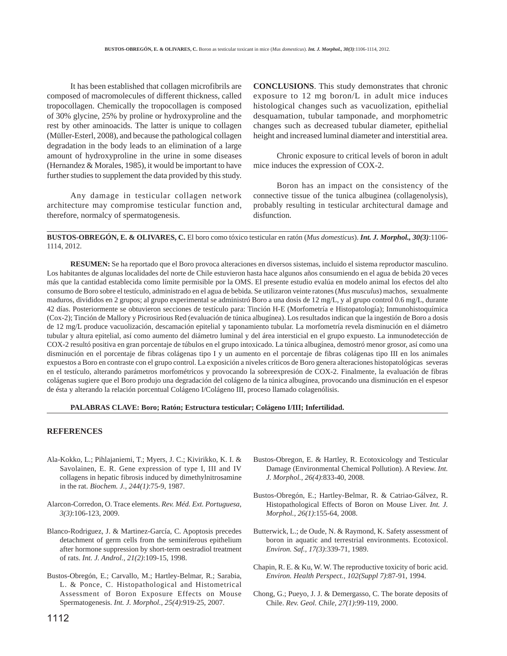It has been established that collagen microfibrils are composed of macromolecules of different thickness, called tropocollagen. Chemically the tropocollagen is composed of 30% glycine, 25% by proline or hydroxyproline and the rest by other aminoacids. The latter is unique to collagen (Müller-Esterl, 2008), and because the pathological collagen degradation in the body leads to an elimination of a large amount of hydroxyproline in the urine in some diseases (Hernandez & Morales, 1985), it would be important to have further studies to supplement the data provided by this study.

Any damage in testicular collagen network architecture may compromise testicular function and, therefore, normalcy of spermatogenesis.

**CONCLUSIONS**. This study demonstrates that chronic exposure to 12 mg boron/L in adult mice induces histological changes such as vacuolization, epithelial desquamation, tubular tamponade, and morphometric changes such as decreased tubular diameter, epithelial height and increased luminal diameter and interstitial area.

Chronic exposure to critical levels of boron in adult mice induces the expression of COX-2.

Boron has an impact on the consistency of the connective tissue of the tunica albuginea (collagenolysis), probably resulting in testicular architectural damage and disfunction.

**BUSTOS-OBREGÓN, E. & OLIVARES, C.** El boro como tóxico testicular en ratón (*Mus domesticus*). *Int. J. Morphol., 30(3)*:1106- 1114, 2012.

**RESUMEN:** Se ha reportado que el Boro provoca alteraciones en diversos sistemas, incluido el sistema reproductor masculino. Los habitantes de algunas localidades del norte de Chile estuvieron hasta hace algunos años consumiendo en el agua de bebida 20 veces más que la cantidad establecida como límite permisible por la OMS. El presente estudio evalúa en modelo animal los efectos del alto consumo de Boro sobre el testículo, administrado en el agua de bebida. Se utilizaron veinte ratones (*Mus musculus*) machos, sexualmente maduros, divididos en 2 grupos; al grupo experimental se administró Boro a una dosis de 12 mg/L, y al grupo control 0.6 mg/L, durante 42 días. Posteriormente se obtuvieron secciones de testículo para: Tinción H-E (Morfometría e Histopatología); Inmunohistoquímica (Cox-2); Tinción de Mallory y Picrosirious Red (evaluación de túnica albugínea). Los resultados indican que la ingestión de Boro a dosis de 12 mg/L produce vacuolización, descamación epitelial y taponamiento tubular. La morfometría revela disminución en el diámetro tubular y altura epitelial, así como aumento del diámetro luminal y del área intersticial en el grupo expuesto. La inmunodetección de COX-2 resultó positiva en gran porcentaje de túbulos en el grupo intoxicado. La túnica albugínea, demostró menor grosor, así como una disminución en el porcentaje de fibras colágenas tipo I y un aumento en el porcentaje de fibras colágenas tipo III en los animales expuestos a Boro en contraste con el grupo control. La exposición a niveles críticos de Boro genera alteraciones histopatológicas severas en el testículo, alterando parámetros morfométricos y provocando la sobreexpresión de COX-2. Finalmente, la evaluación de fibras colágenas sugiere que el Boro produjo una degradación del colágeno de la túnica albugínea, provocando una disminución en el espesor de ésta y alterando la relación porcentual Colágeno I/Colágeno III, proceso llamado colagenólisis.

#### **PALABRAS CLAVE: Boro; Ratón; Estructura testicular; Colágeno I/III; Infertilidad.**

#### **REFERENCES**

- Ala-Kokko, L.; Pihlajaniemi, T.; Myers, J. C.; Kivirikko, K. I. & Savolainen, E. R. Gene expression of type I, III and IV collagens in hepatic fibrosis induced by dimethylnitrosamine in the rat. *Biochem. J., 244(1)*:75-9, 1987.
- Alarcon-Corredon, O. Trace elements. *Rev. Méd. Ext. Portuguesa, 3(3)*:106-123, 2009.
- Blanco-Rodriguez, J. & Martinez-García, C. Apoptosis precedes detachment of germ cells from the seminiferous epithelium after hormone suppression by short-term oestradiol treatment of rats. *Int. J. Androl., 21(2)*:109-15, 1998.
- Bustos-Obregón, E.; Carvallo, M.; Hartley-Belmar, R.; Sarabia, L. & Ponce, C. Histopathological and Histometrical Assessment of Boron Exposure Effects on Mouse Spermatogenesis. *Int. J. Morphol., 25(4)*:919-25, 2007.
- Bustos-Obregon, E. & Hartley, R. Ecotoxicology and Testicular Damage (Environmental Chemical Pollution). A Review. *Int. J. Morphol., 26(4)*:833-40, 2008.
- Bustos-Obregón, E.; Hartley-Belmar, R. & Catriao-Gálvez, R. Histopathological Effects of Boron on Mouse Liver. *Int. J. Morphol., 26(1)*:155-64, 2008.
- Butterwick, L.; de Oude, N. & Raymond, K. Safety assessment of boron in aquatic and terrestrial environments. Ecotoxicol. *Environ. Saf., 17(3)*:339-71, 1989.
- Chapin, R. E. & Ku, W. W. The reproductive toxicity of boric acid. *Environ. Health Perspect., 102(Suppl 7)*:87-91, 1994.
- Chong, G.; Pueyo, J. J. & Demergasso, C. The borate deposits of Chile. *Rev. Geol. Chile, 27(1)*:99-119, 2000.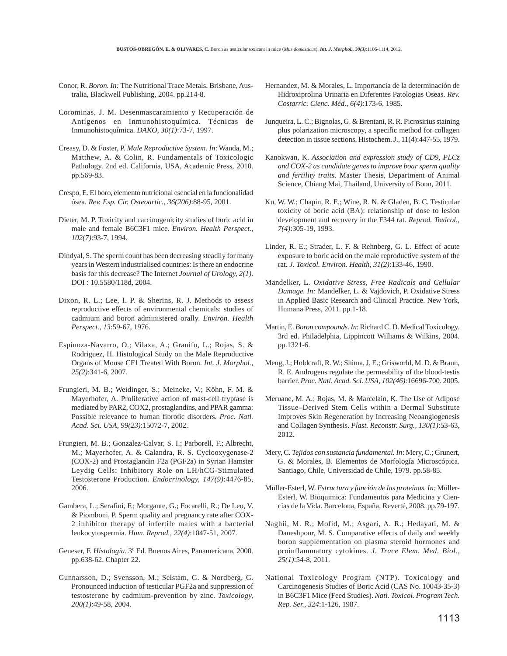- Conor, R. *Boron. In:* The Nutritional Trace Metals. Brisbane, Australia, Blackwell Publishing, 2004. pp.214-8.
- Corominas, J. M. Desenmascaramiento y Recuperación de Antígenos en Inmunohistoquímica. Técnicas de Inmunohistoquímica. *DAKO, 30(1)*:73-7, 1997.
- Creasy, D. & Foster, P. *Male Reproductive System. In*: Wanda, M.; Matthew, A. & Colin, R. Fundamentals of Toxicologic Pathology. 2nd ed. California, USA, Academic Press, 2010. pp.569-83.
- Crespo, E. El boro, elemento nutricional esencial en la funcionalidad ósea. *Rev. Esp. Cir. Osteoartic., 36(206)*:88-95, 2001.
- Dieter, M. P. Toxicity and carcinogenicity studies of boric acid in male and female B6C3F1 mice. *Environ. Health Perspect., 102(7)*:93-7, 1994.
- Dindyal, S. The sperm count has been decreasing steadily for many years in Western industrialised countries: Is there an endocrine basis for this decrease? The Internet *Journal of Urology, 2(1)*. DOI : 10.5580/118d, 2004.
- Dixon, R. L.; Lee, I. P. & Sherins, R. J. Methods to assess reproductive effects of environmental chemicals: studies of cadmium and boron administered orally. *Environ. Health Perspect., 13*:59-67, 1976.
- Espinoza-Navarro, O.; Vilaxa, A.; Granifo, L.; Rojas, S. & Rodriguez, H. Histological Study on the Male Reproductive Organs of Mouse CF1 Treated With Boron. *Int. J. Morphol., 25(2)*:341-6, 2007.
- Frungieri, M. B.; Weidinger, S.; Meineke, V.; Köhn, F. M. & Mayerhofer, A. Proliferative action of mast-cell tryptase is mediated by PAR2, COX2, prostaglandins, and PPAR gamma: Possible relevance to human fibrotic disorders. *Proc. Natl. Acad. Sci. USA, 99(23)*:15072-7, 2002.
- Frungieri, M. B.; Gonzalez-Calvar, S. I.; Parborell, F.; Albrecht, M.; Mayerhofer, A. & Calandra, R. S. Cyclooxygenase-2 (COX-2) and Prostaglandin F2a (PGF2a) in Syrian Hamster Leydig Cells: Inhibitory Role on LH/hCG-Stimulated Testosterone Production. *Endocrinology, 147(9)*:4476-85, 2006.
- Gambera, L.; Serafini, F.; Morgante, G.; Focarelli, R.; De Leo, V. & Piomboni, P. Sperm quality and pregnancy rate after COX-2 inhibitor therapy of infertile males with a bacterial leukocytospermia. *Hum. Reprod., 22(4)*:1047-51, 2007.
- Geneser, F. *Histología*. 3º Ed. Buenos Aires, Panamericana, 2000. pp.638-62. Chapter 22.
- Gunnarsson, D.; Svensson, M.; Selstam, G. & Nordberg, G. Pronounced induction of testicular PGF2a and suppression of testosterone by cadmium-prevention by zinc. *Toxicology, 200(1)*:49-58, 2004.
- Hernandez, M. & Morales, L. Importancia de la determinación de Hidroxiprolina Urinaria en Diferentes Patologias Oseas. *Rev. Costarric. Cienc. Méd., 6(4)*:173-6, 1985.
- Junqueira, L. C.; Bignolas, G. & Brentani, R. R. Picrosirius staining plus polarization microscopy, a specific method for collagen detection in tissue sections. Histochem. J., 11(4):447-55, 1979.
- Kanokwan, K. *Association and expression study of CD9, PLCz and COX-2 as candidate genes to improve boar sperm quality and fertility traits.* Master Thesis, Department of Animal Science, Chiang Mai, Thailand, University of Bonn, 2011.
- Ku, W. W.; Chapin, R. E.; Wine, R. N. & Gladen, B. C. Testicular toxicity of boric acid (BA): relationship of dose to lesion development and recovery in the F344 rat. *Reprod. Toxicol., 7(4)*:305-19, 1993.
- Linder, R. E.; Strader, L. F. & Rehnberg, G. L. Effect of acute exposure to boric acid on the male reproductive system of the rat. *J. Toxicol. Environ. Health, 31(2)*:133-46, 1990.
- Mandelker, L. *Oxidative Stress, Free Radicals and Cellular Damage. In:* Mandelker, L. & Vajdovich, P. Oxidative Stress in Applied Basic Research and Clinical Practice. New York, Humana Press, 2011. pp.1-18.
- Martin, E. *Boron compounds. In*: Richard C. D. Medical Toxicology. 3rd ed. Philadelphia, Lippincott Williams & Wilkins, 2004. pp.1321-6.
- Meng, J.; Holdcraft, R. W.; Shima, J. E.; Grisworld, M. D. & Braun, R. E. Androgens regulate the permeability of the blood-testis barrier. *Proc. Natl. Acad. Sci. USA, 102(46)*:16696-700. 2005.
- Meruane, M. A.; Rojas, M. & Marcelain, K. The Use of Adipose Tissue–Derived Stem Cells within a Dermal Substitute Improves Skin Regeneration by Increasing Neoangiogenesis and Collagen Synthesis. *Plast. Reconstr. Surg., 130(1)*:53-63, 2012.
- Mery, C. *Tejidos con sustancia fundamental. In*: Mery, C.; Grunert, G. & Morales, B. Elementos de Morfología Microscópica. Santiago, Chile, Universidad de Chile, 1979. pp.58-85.
- Müller-Esterl, W. *Estructura y función de las proteínas. In:* Müller-Esterl, W. Bioquimica: Fundamentos para Medicina y Ciencias de la Vida. Barcelona, España, Reverté, 2008. pp.79-197.
- Naghii, M. R.; Mofid, M.; Asgari, A. R.; Hedayati, M. & Daneshpour, M. S. Comparative effects of daily and weekly boron supplementation on plasma steroid hormones and proinflammatory cytokines. *J. Trace Elem. Med. Biol., 25(1)*:54-8, 2011.
- National Toxicology Program (NTP). Toxicology and Carcinogenesis Studies of Boric Acid (CAS No. 10043-35-3) in B6C3F1 Mice (Feed Studies). *Natl. Toxicol. Program Tech. Rep. Ser., 324*:1-126, 1987.